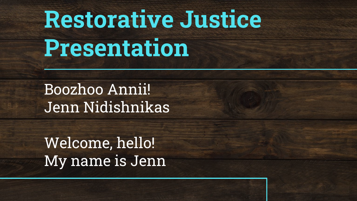## **Restorative Justice Presentation**

Boozhoo Annii! Jenn Nidishnikas

Welcome, hello! My name is Jenn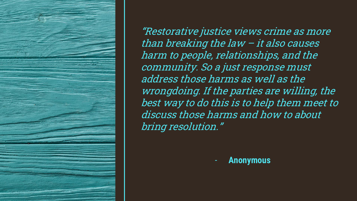

"Restorative justice views crime as more than breaking the law – it also causes harm to people, relationships, and the community. So a just response must address those harms as well as the wrongdoing. If the parties are willing, the best way to do this is to help them meet to discuss those harms and how to about bring resolution."

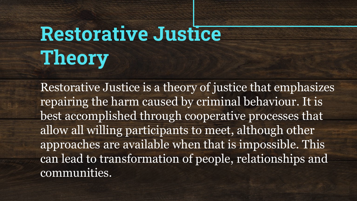## **Restorative Justice Theory**

Restorative Justice is a theory of justice that emphasizes repairing the harm caused by criminal behaviour. It is best accomplished through cooperative processes that allow all willing participants to meet, although other approaches are available when that is impossible. This can lead to transformation of people, relationships and communities.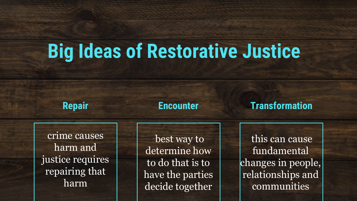### **Big Ideas of Restorative Justice**

**Repair**

**Encounter**

#### **Transformation**

crime causes harm and justice requires repairing that harm

best way to determine how to do that is to have the parties decide together

this can cause fundamental changes in people, relationships and communities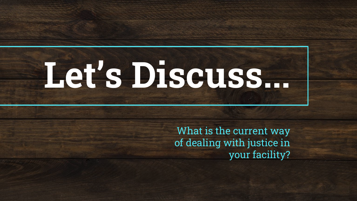## **Let's Discuss...**

What is the current way of dealing with justice in your facility?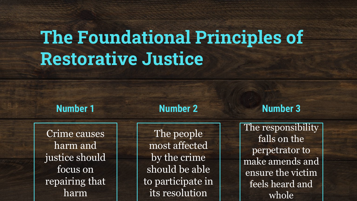### **The Foundational Principles of Restorative Justice**

#### **Number 1**

harm

#### **Number 2**

#### Crime causes harm and justice should focus on repairing that

The people most affected by the crime should be able to participate in its resolution

#### **Number 3**

The responsibility falls on the perpetrator to make amends and ensure the victim feels heard and whole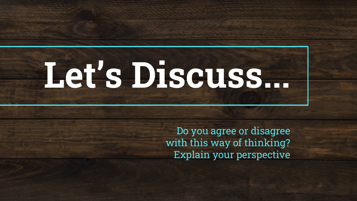## **Let's Discuss...**

Do you agree or disagree with this way of thinking? Explain your perspective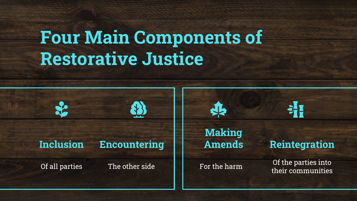### **Four Main Components of Restorative Justice**





#### **Inclusion Encountering**

Of all parties

#### The other side

**Making Amends**

For the harm

#### **Reintegration**

Of the parties into their communities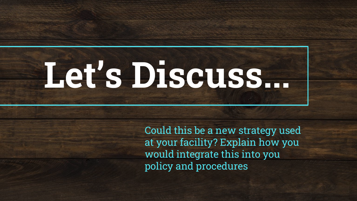## **Let's Discuss...**

Could this be a new strategy used at your facility? Explain how you would integrate this into you policy and procedures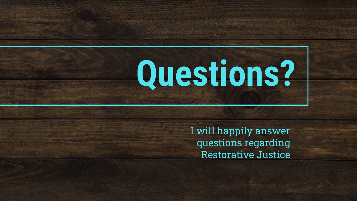# **Questions?**

I will happily answer questions regarding Restorative Justice